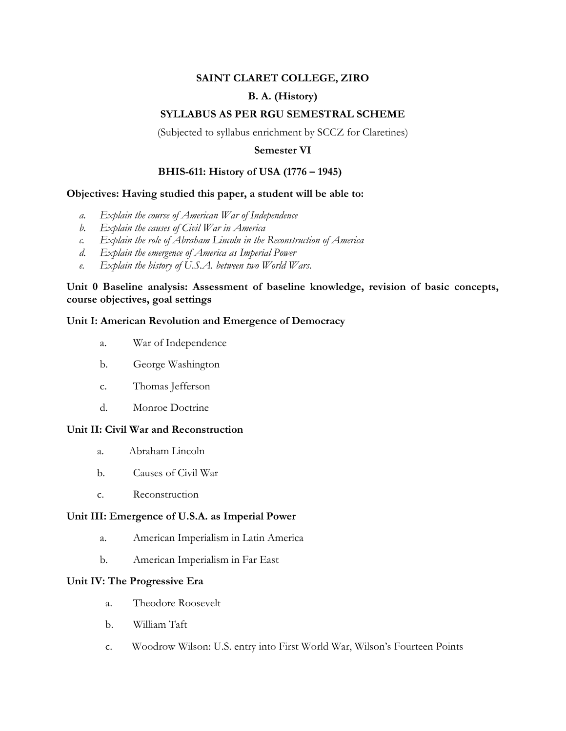# **SAINT CLARET COLLEGE, ZIRO**

# **B. A. (History)**

## **SYLLABUS AS PER RGU SEMESTRAL SCHEME**

(Subjected to syllabus enrichment by SCCZ for Claretines)

#### **Semester VI**

## **BHIS-611: History of USA (1776 – 1945)**

#### **Objectives: Having studied this paper, a student will be able to:**

- *a. Explain the course of American War of Independence*
- *b. Explain the causes of Civil War in America*
- *c. Explain the role of Abraham Lincoln in the Reconstruction of America*
- *d. Explain the emergence of America as Imperial Power*
- *e. Explain the history of U.S.A. between two World Wars.*

**Unit 0 Baseline analysis: Assessment of baseline knowledge, revision of basic concepts, course objectives, goal settings**

#### **Unit I: American Revolution and Emergence of Democracy**

- a. War of Independence
- b. George Washington
- c. Thomas Jefferson
- d. Monroe Doctrine

#### **Unit II: Civil War and Reconstruction**

- a. Abraham Lincoln
- b. Causes of Civil War
- c. Reconstruction

#### **Unit III: Emergence of U.S.A. as Imperial Power**

- a. American Imperialism in Latin America
- b. American Imperialism in Far East

#### **Unit IV: The Progressive Era**

- a. Theodore Roosevelt
- b. William Taft
- c. Woodrow Wilson: U.S. entry into First World War, Wilson's Fourteen Points